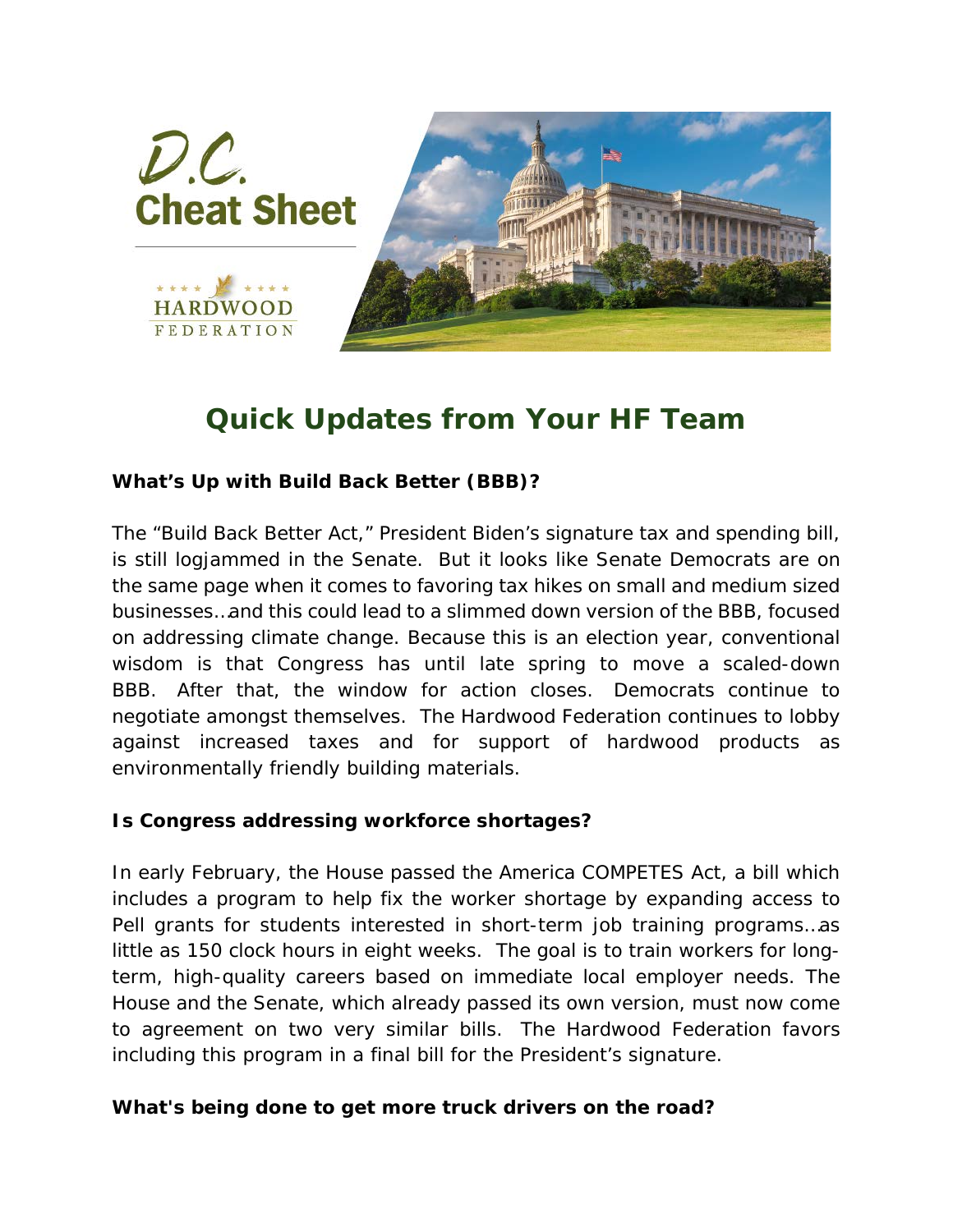

## *Quick Updates from Your HF Team*

## *What's Up with Build Back Better (BBB)?*

The "Build Back Better Act," President Biden's signature tax and spending bill, is still logjammed in the Senate. But it looks like Senate Democrats are on the same page when it comes to favoring tax hikes on small and medium sized businesses…and this could lead to a slimmed down version of the BBB, focused on addressing climate change. Because this is an election year, conventional wisdom is that Congress has until late spring to move a scaled-down BBB. After that, the window for action closes. Democrats continue to negotiate amongst themselves. The Hardwood Federation continues to lobby against increased taxes and for support of hardwood products as environmentally friendly building materials.

## *Is Congress addressing workforce shortages?*

In early February, the House passed the America COMPETES Act, a bill which includes a program to help fix the worker shortage by expanding access to Pell grants for students interested in short-term job training programs…as little as 150 clock hours in eight weeks. The goal is to train workers for longterm, high-quality careers based on immediate local employer needs. The House and the Senate, which already passed its own version, must now come to agreement on two very similar bills. The Hardwood Federation favors including this program in a final bill for the President's signature.

## *What's being done to get more truck drivers on the road?*